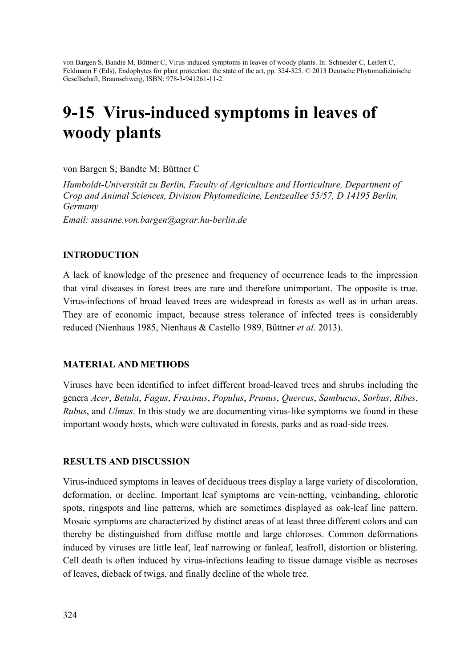von Bargen S, Bandte M, Büttner C, Virus-induced symptoms in leaves of woody plants. In: Schneider C, Leifert C, Feldmann F (Eds), Endophytes for plant protection: the state of the art, pp. 324-325. © 2013 Deutsche Phytomedizinische Gesellschaft, Braunschweig, ISBN: 978-3-941261-11-2.

# 9-15 Virus-induced symptoms in leaves of woody plants

von Bargen S; Bandte M; Büttner C

*Humboldt-Universität zu Berlin, Faculty of Agriculture and Horticulture, Department of Crop and Animal Sciences, Division Phytomedicine, Lentzeallee 55/57, D 14195 Berlin, Germany* 

*Email: susanne.von.bargen@agrar.hu-berlin.de* 

## INTRODUCTION

A lack of knowledge of the presence and frequency of occurrence leads to the impression that viral diseases in forest trees are rare and therefore unimportant. The opposite is true. Virus-infections of broad leaved trees are widespread in forests as well as in urban areas. They are of economic impact, because stress tolerance of infected trees is considerably reduced (Nienhaus 1985, Nienhaus & Castello 1989, Büttner *et al*. 2013).

#### MATERIAL AND METHODS

Viruses have been identified to infect different broad-leaved trees and shrubs including the genera *Acer*, *Betula*, *Fagus*, *Fraxinus*, *Populus*, *Prunus*, *Quercus*, *Sambucus*, *Sorbus*, *Ribes*, *Rubus*, and *Ulmus*. In this study we are documenting virus-like symptoms we found in these important woody hosts, which were cultivated in forests, parks and as road-side trees.

#### RESULTS AND DISCUSSION

Virus-induced symptoms in leaves of deciduous trees display a large variety of discoloration, deformation, or decline. Important leaf symptoms are vein-netting, veinbanding, chlorotic spots, ringspots and line patterns, which are sometimes displayed as oak-leaf line pattern. Mosaic symptoms are characterized by distinct areas of at least three different colors and can thereby be distinguished from diffuse mottle and large chloroses. Common deformations induced by viruses are little leaf, leaf narrowing or fanleaf, leafroll, distortion or blistering. Cell death is often induced by virus-infections leading to tissue damage visible as necroses of leaves, dieback of twigs, and finally decline of the whole tree.